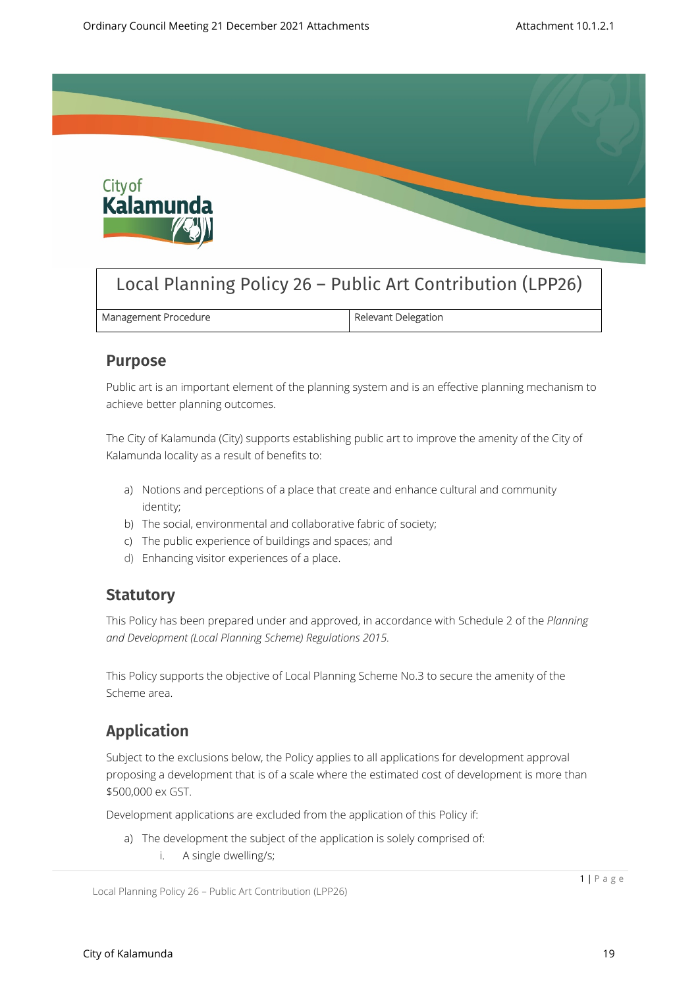

# Local Planning Policy 26 – Public Art Contribution (LPP26)

| Management Procedure | Relevant Delegation |
|----------------------|---------------------|
|                      |                     |

### **Purpose**

Public art is an important element of the planning system and is an effective planning mechanism to achieve better planning outcomes.

The City of Kalamunda (City) supports establishing public art to improve the amenity of the City of Kalamunda locality as a result of benefits to:

- a) Notions and perceptions of a place that create and enhance cultural and community identity;
- b) The social, environmental and collaborative fabric of society;
- c) The public experience of buildings and spaces; and
- d) Enhancing visitor experiences of a place.

### **Statutory**

This Policy has been prepared under and approved, in accordance with Schedule 2 of the *Planning and Development (Local Planning Scheme) Regulations 2015.*

This Policy supports the objective of Local Planning Scheme No.3 to secure the amenity of the Scheme area.

## **Application**

Subject to the exclusions below, the Policy applies to all applications for development approval proposing a development that is of a scale where the estimated cost of development is more than \$500,000 ex GST.

Development applications are excluded from the application of this Policy if:

- a) The development the subject of the application is solely comprised of:
	- i. A single dwelling/s;

```
Local Planning Policy 26 – Public Art Contribution (LPP26)
```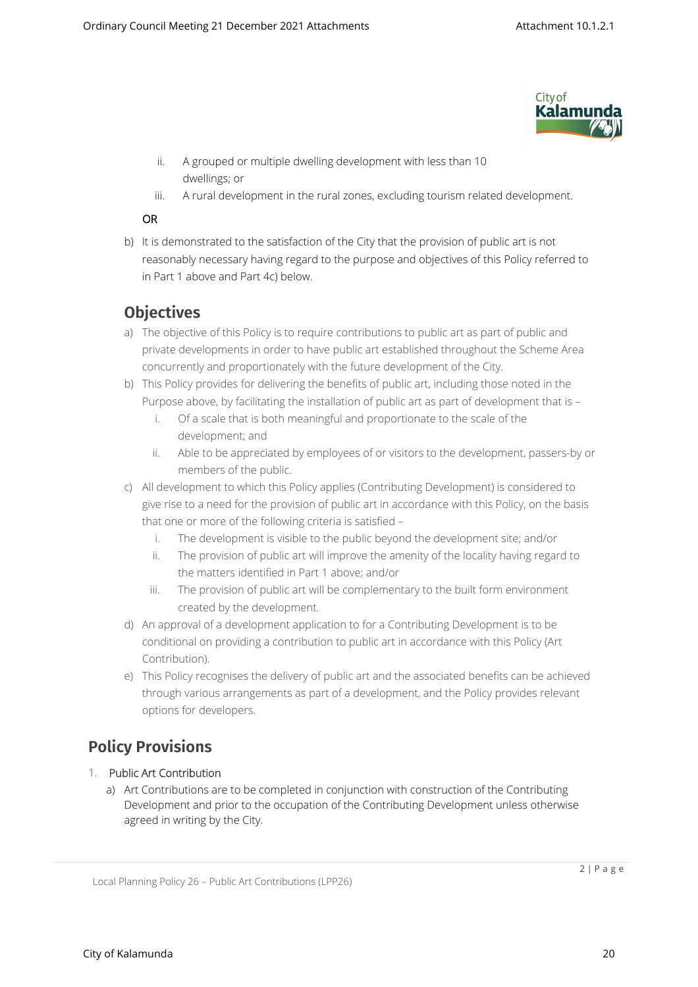

- ii. A grouped or multiple dwelling development with less than 10 dwellings; or
- iii. A rural development in the rural zones, excluding tourism related development.

#### **OR**

b) It is demonstrated to the satisfaction of the City that the provision of public art is not reasonably necessary having regard to the purpose and objectives of this Policy referred to in Part 1 above and Part 4c) below.

## **Objectives**

- a) The objective of this Policy is to require contributions to public art as part of public and private developments in order to have public art established throughout the Scheme Area concurrently and proportionately with the future development of the City.
- b) This Policy provides for delivering the benefits of public art, including those noted in the Purpose above, by facilitating the installation of public art as part of development that is –
	- i. Of a scale that is both meaningful and proportionate to the scale of the development; and
	- ii. Able to be appreciated by employees of or visitors to the development, passers-by or members of the public.
- c) All development to which this Policy applies (Contributing Development) is considered to give rise to a need for the provision of public art in accordance with this Policy, on the basis that one or more of the following criteria is satisfied –
	- i. The development is visible to the public beyond the development site; and/or
	- ii. The provision of public art will improve the amenity of the locality having regard to the matters identified in Part 1 above; and/or
	- iii. The provision of public art will be complementary to the built form environment created by the development.
- d) An approval of a development application to for a Contributing Development is to be conditional on providing a contribution to public art in accordance with this Policy (Art Contribution).
- e) This Policy recognises the delivery of public art and the associated benefits can be achieved through various arrangements as part of a development, and the Policy provides relevant options for developers.

## **Policy Provisions**

#### 1. **Public Art Contribution**

a) Art Contributions are to be completed in conjunction with construction of the Contributing Development and prior to the occupation of the Contributing Development unless otherwise agreed in writing by the City.

Local Planning Policy 26 – Public Art Contributions (LPP26)

2 | P a g e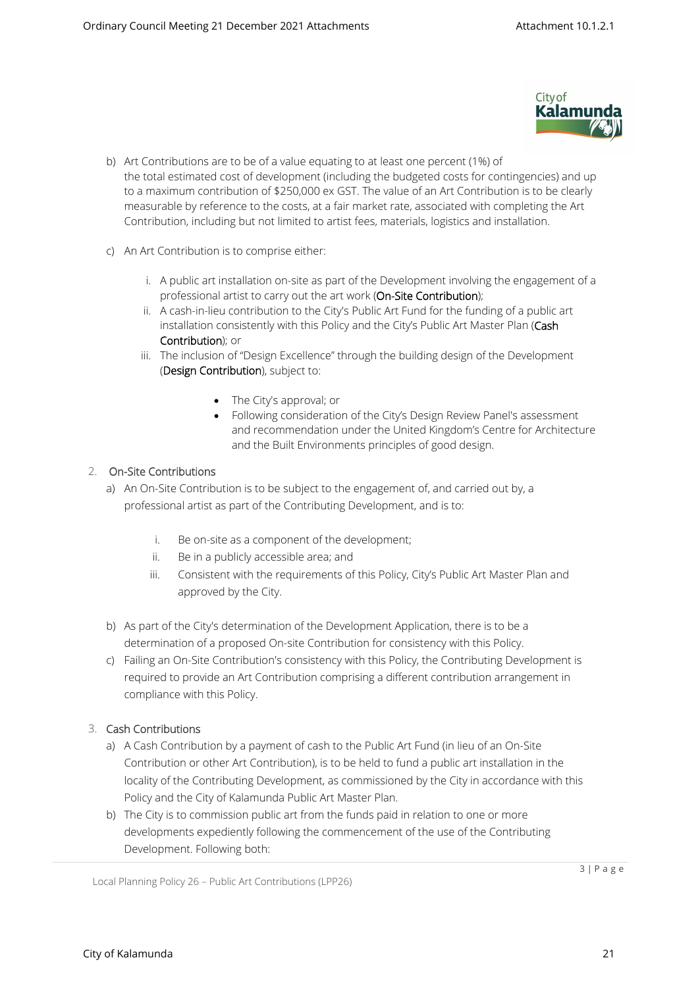

- b) Art Contributions are to be of a value equating to at least one percent (1%) of the total estimated cost of development (including the budgeted costs for contingencies) and up to a maximum contribution of \$250,000 ex GST. The value of an Art Contribution is to be clearly measurable by reference to the costs, at a fair market rate, associated with completing the Art Contribution, including but not limited to artist fees, materials, logistics and installation.
- c) An Art Contribution is to comprise either:
	- i. A public art installation on-site as part of the Development involving the engagement of a professional artist to carry out the art work (**On-Site Contribution**);
	- ii. A cash-in-lieu contribution to the City's Public Art Fund for the funding of a public art installation consistently with this Policy and the City's Public Art Master Plan (**Cash Contribution**); or
	- iii. The inclusion of "Design Excellence" through the building design of the Development (**Design Contribution**), subject to:
		- The City's approval; or
		- Following consideration of the City's Design Review Panel's assessment and recommendation under the United Kingdom's Centre for Architecture and the Built Environments principles of good design.

#### 2. **On-Site Contributions**

- a) An On-Site Contribution is to be subject to the engagement of, and carried out by, a professional artist as part of the Contributing Development, and is to:
	- i. Be on-site as a component of the development;
	- ii. Be in a publicly accessible area; and
	- iii. Consistent with the requirements of this Policy, City's Public Art Master Plan and approved by the City.
- b) As part of the City's determination of the Development Application, there is to be a determination of a proposed On-site Contribution for consistency with this Policy.
- c) Failing an On-Site Contribution's consistency with this Policy, the Contributing Development is required to provide an Art Contribution comprising a different contribution arrangement in compliance with this Policy.

#### 3. **Cash Contributions**

- a) A Cash Contribution by a payment of cash to the Public Art Fund (in lieu of an On-Site Contribution or other Art Contribution), is to be held to fund a public art installation in the locality of the Contributing Development, as commissioned by the City in accordance with this Policy and the City of Kalamunda Public Art Master Plan.
- b) The City is to commission public art from the funds paid in relation to one or more developments expediently following the commencement of the use of the Contributing Development. Following both:

Local Planning Policy 26 – Public Art Contributions (LPP26)

3 | P a g e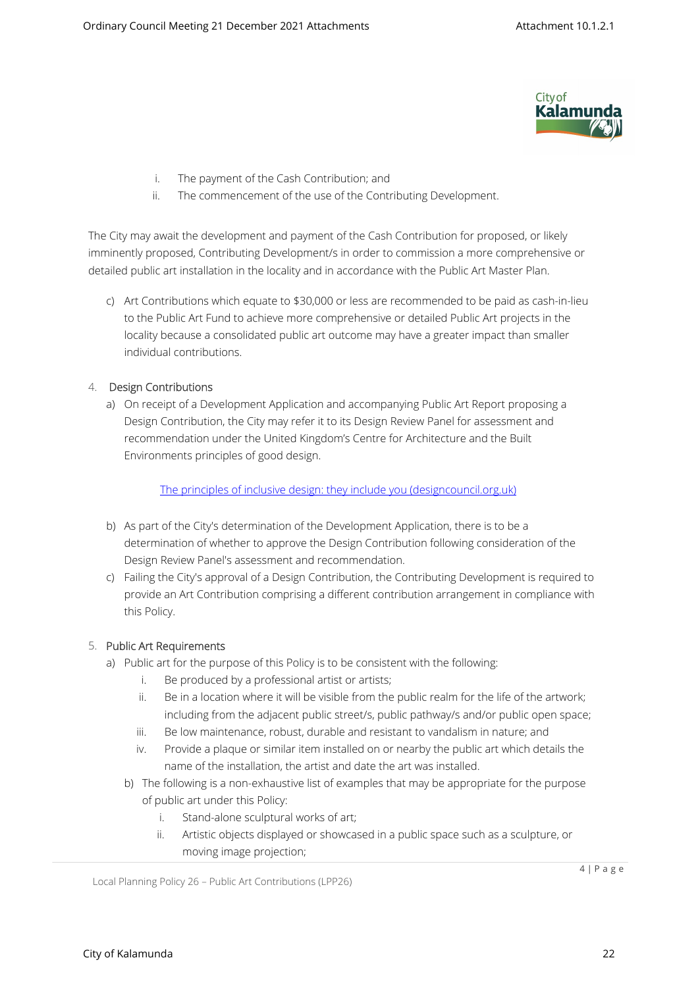

- i. The payment of the Cash Contribution; and
- ii. The commencement of the use of the Contributing Development.

The City may await the development and payment of the Cash Contribution for proposed, or likely imminently proposed, Contributing Development/s in order to commission a more comprehensive or detailed public art installation in the locality and in accordance with the Public Art Master Plan.

c) Art Contributions which equate to \$30,000 or less are recommended to be paid as cash-in-lieu to the Public Art Fund to achieve more comprehensive or detailed Public Art projects in the locality because a consolidated public art outcome may have a greater impact than smaller individual contributions.

#### 4. **Design Contributions**

a) On receipt of a Development Application and accompanying Public Art Report proposing a Design Contribution, the City may refer it to its Design Review Panel for assessment and recommendation under the United Kingdom's Centre for Architecture and the Built Environments principles of good design.

[The principles of inclusive design: they include you \(designcouncil.org.uk\)](https://www.designcouncil.org.uk/sites/default/files/asset/document/the-principles-of-inclusive-design.pdf)

- b) As part of the City's determination of the Development Application, there is to be a determination of whether to approve the Design Contribution following consideration of the Design Review Panel's assessment and recommendation.
- c) Failing the City's approval of a Design Contribution, the Contributing Development is required to provide an Art Contribution comprising a different contribution arrangement in compliance with this Policy.

#### 5. **Public Art Requirements**

- a) Public art for the purpose of this Policy is to be consistent with the following:
	- i. Be produced by a professional artist or artists;
	- ii. Be in a location where it will be visible from the public realm for the life of the artwork; including from the adjacent public street/s, public pathway/s and/or public open space;
	- iii. Be low maintenance, robust, durable and resistant to vandalism in nature; and
	- iv. Provide a plaque or similar item installed on or nearby the public art which details the name of the installation, the artist and date the art was installed.
	- b) The following is a non-exhaustive list of examples that may be appropriate for the purpose of public art under this Policy:
		- i. Stand-alone sculptural works of art;
		- ii. Artistic objects displayed or showcased in a public space such as a sculpture, or moving image projection;

Local Planning Policy 26 – Public Art Contributions (LPP26)

4 | P a g e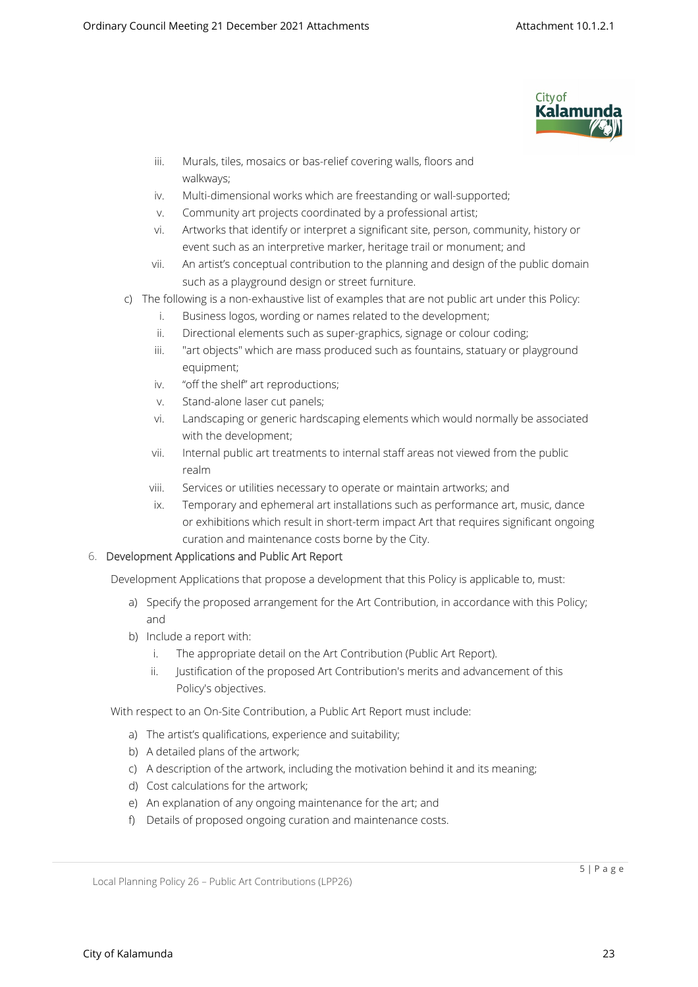

- iii. Murals, tiles, mosaics or bas-relief covering walls, floors and walkways;
- iv. Multi-dimensional works which are freestanding or wall-supported;
- v. Community art projects coordinated by a professional artist;
- vi. Artworks that identify or interpret a significant site, person, community, history or event such as an interpretive marker, heritage trail or monument; and
- vii. An artist's conceptual contribution to the planning and design of the public domain such as a playground design or street furniture.
- c) The following is a non-exhaustive list of examples that are not public art under this Policy:
	- i. Business logos, wording or names related to the development;
	- ii. Directional elements such as super-graphics, signage or colour coding;
	- iii. "art objects" which are mass produced such as fountains, statuary or playground equipment;
	- iv. "off the shelf" art reproductions;
	- v. Stand-alone laser cut panels;
	- vi. Landscaping or generic hardscaping elements which would normally be associated with the development;
	- vii. Internal public art treatments to internal staff areas not viewed from the public realm
	- viii. Services or utilities necessary to operate or maintain artworks; and
	- ix. Temporary and ephemeral art installations such as performance art, music, dance or exhibitions which result in short-term impact Art that requires significant ongoing curation and maintenance costs borne by the City.

#### 6. **Development Applications and Public Art Report**

Development Applications that propose a development that this Policy is applicable to, must:

- a) Specify the proposed arrangement for the Art Contribution, in accordance with this Policy; and
- b) Include a report with:
	- i. The appropriate detail on the Art Contribution (Public Art Report).
	- ii. Justification of the proposed Art Contribution's merits and advancement of this Policy's objectives.

With respect to an On-Site Contribution, a Public Art Report must include:

- a) The artist's qualifications, experience and suitability;
- b) A detailed plans of the artwork;
- c) A description of the artwork, including the motivation behind it and its meaning;
- d) Cost calculations for the artwork;
- e) An explanation of any ongoing maintenance for the art; and
- f) Details of proposed ongoing curation and maintenance costs.